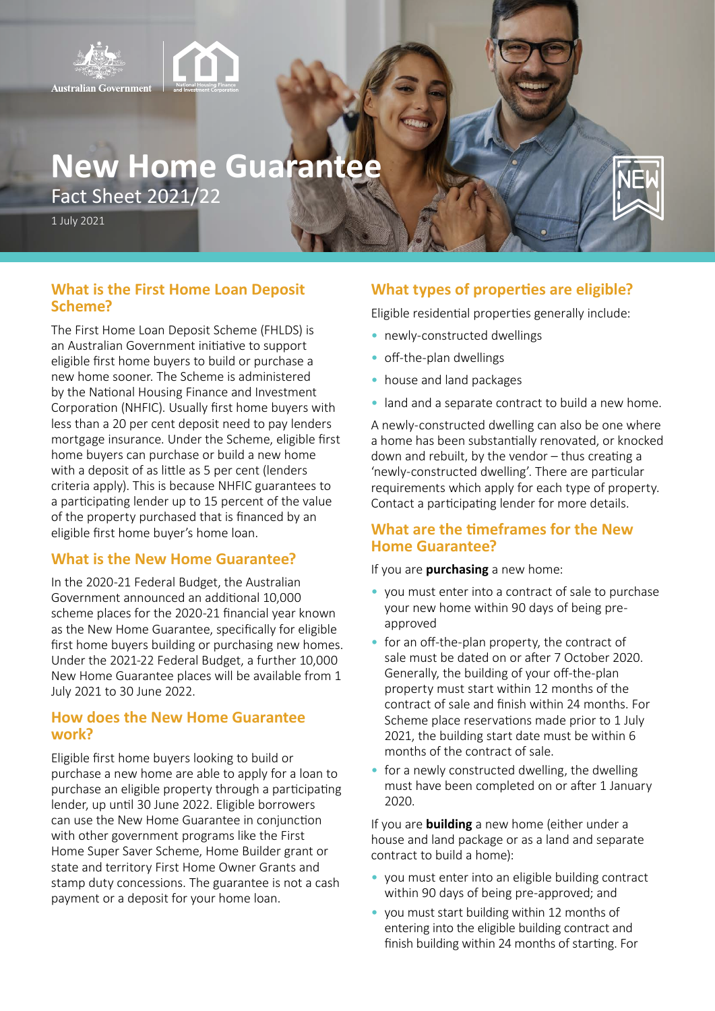

# **New Home Guarantee**

Fact Sheet 2021/22

1 July 2021

### **What is the First Home Loan Deposit Scheme?**

The First Home Loan Deposit Scheme (FHLDS) is an Australian Government initiative to support eligible first home buyers to build or purchase a new home sooner. The Scheme is administered by the National Housing Finance and Investment Corporation (NHFIC). Usually first home buyers with less than a 20 per cent deposit need to pay lenders mortgage insurance. Under the Scheme, eligible first home buyers can purchase or build a new home with a deposit of as little as 5 per cent (lenders criteria apply). This is because NHFIC guarantees to a participating lender up to 15 percent of the value of the property purchased that is financed by an eligible first home buyer's home loan.

#### **What is the New Home Guarantee?**

In the 2020-21 Federal Budget, the Australian Government announced an additional 10,000 scheme places for the 2020-21 financial year known as the New Home Guarantee, specifically for eligible first home buyers building or purchasing new homes. Under the 2021-22 Federal Budget, a further 10,000 New Home Guarantee places will be available from 1 July 2021 to 30 June 2022.

#### **How does the New Home Guarantee work?**

Eligible first home buyers looking to build or purchase a new home are able to apply for a loan to purchase an eligible property through a participating lender, up until 30 June 2022. Eligible borrowers can use the New Home Guarantee in conjunction with other government programs like the First Home Super Saver Scheme, Home Builder grant or state and territory First Home Owner Grants and stamp duty concessions. The guarantee is not a cash payment or a deposit for your home loan.

## **What types of properties are eligible?**

Eligible residential properties generally include:

- newly-constructed dwellings
- off-the-plan dwellings
- house and land packages
- land and a separate contract to build a new home.

A newly-constructed dwelling can also be one where a home has been substantially renovated, or knocked down and rebuilt, by the vendor – thus creating a 'newly-constructed dwelling'. There are particular requirements which apply for each type of property. Contact a participating lender for more details.

#### **What are the timeframes for the New Home Guarantee?**

If you are **purchasing** a new home:

- you must enter into a contract of sale to purchase your new home within 90 days of being preapproved
- for an off-the-plan property, the contract of sale must be dated on or after 7 October 2020. Generally, the building of your off-the-plan property must start within 12 months of the contract of sale and finish within 24 months. For Scheme place reservations made prior to 1 July 2021, the building start date must be within 6 months of the contract of sale.
- for a newly constructed dwelling, the dwelling must have been completed on or after 1 January 2020.

If you are **building** a new home (either under a house and land package or as a land and separate contract to build a home):

- you must enter into an eligible building contract within 90 days of being pre-approved; and
- you must start building within 12 months of entering into the eligible building contract and finish building within 24 months of starting. For